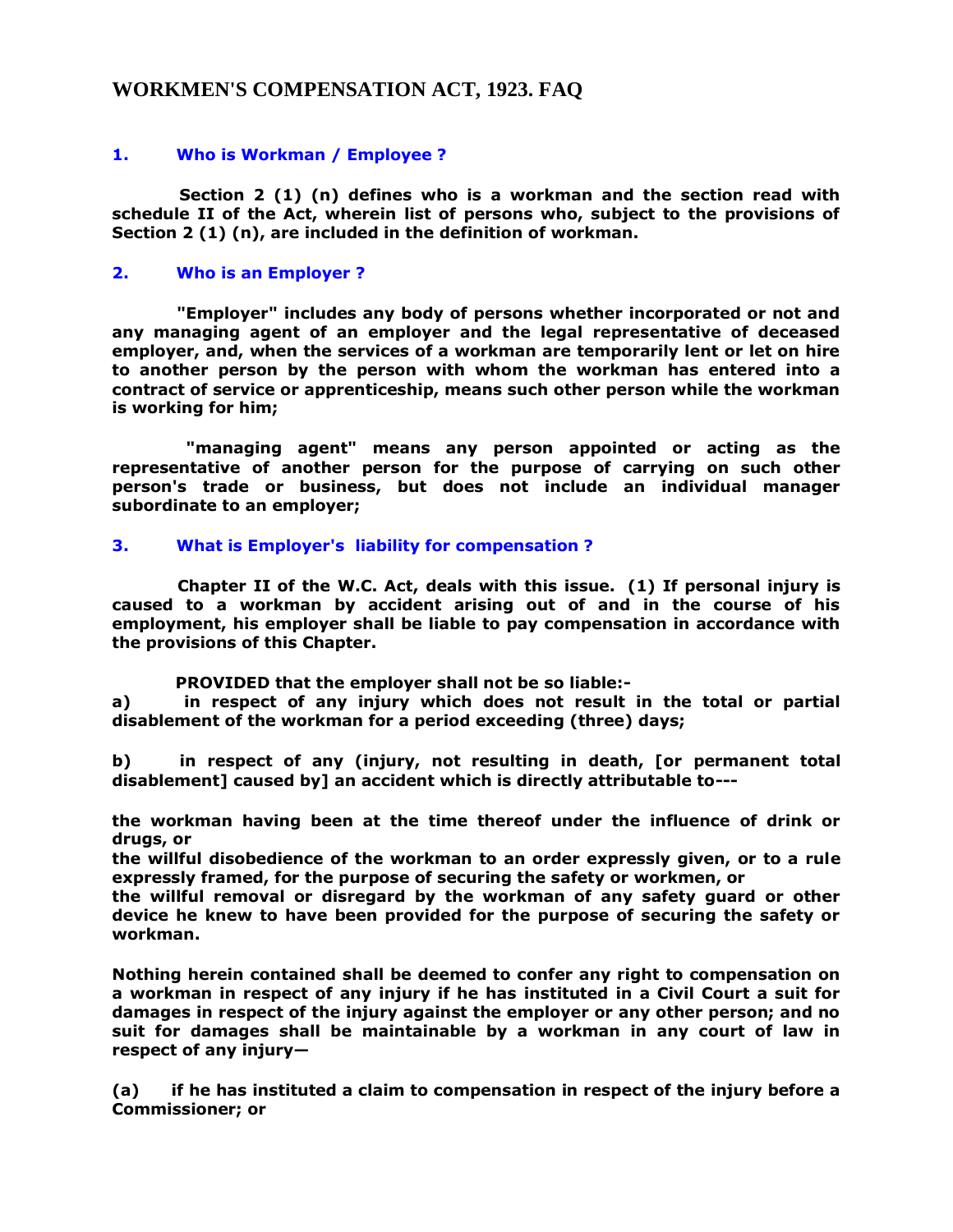# **WORKMEN'S COMPENSATION ACT, 1923. FAQ**

# **1. Who is Workman / Employee ?**

 **Section 2 (1) (n) defines who is a workman and the section read with schedule II of the Act, wherein list of persons who, subject to the provisions of Section 2 (1) (n), are included in the definition of workman.** 

### **2. Who is an Employer ?**

 **"Employer" includes any body of persons whether incorporated or not and any managing agent of an employer and the legal representative of deceased employer, and, when the services of a workman are temporarily lent or let on hire to another person by the person with whom the workman has entered into a contract of service or apprenticeship, means such other person while the workman is working for him;**

 **"managing agent" means any person appointed or acting as the representative of another person for the purpose of carrying on such other person's trade or business, but does not include an individual manager subordinate to an employer;** 

## **3. What is Employer's liability for compensation ?**

 **Chapter II of the W.C. Act, deals with this issue. (1) If personal injury is caused to a workman by accident arising out of and in the course of his employment, his employer shall be liable to pay compensation in accordance with the provisions of this Chapter.**

 **PROVIDED that the employer shall not be so liable:-**

**a) in respect of any injury which does not result in the total or partial disablement of the workman for a period exceeding (three) days;**

**b) in respect of any (injury, not resulting in death, [or permanent total disablement] caused by] an accident which is directly attributable to---**

**the workman having been at the time thereof under the influence of drink or drugs, or**

**the willful disobedience of the workman to an order expressly given, or to a rule expressly framed, for the purpose of securing the safety or workmen, or** 

**the willful removal or disregard by the workman of any safety guard or other device he knew to have been provided for the purpose of securing the safety or workman.** 

**Nothing herein contained shall be deemed to confer any right to compensation on a workman in respect of any injury if he has instituted in a Civil Court a suit for damages in respect of the injury against the employer or any other person; and no suit for damages shall be maintainable by a workman in any court of law in respect of any injury—**

**(a) if he has instituted a claim to compensation in respect of the injury before a Commissioner; or**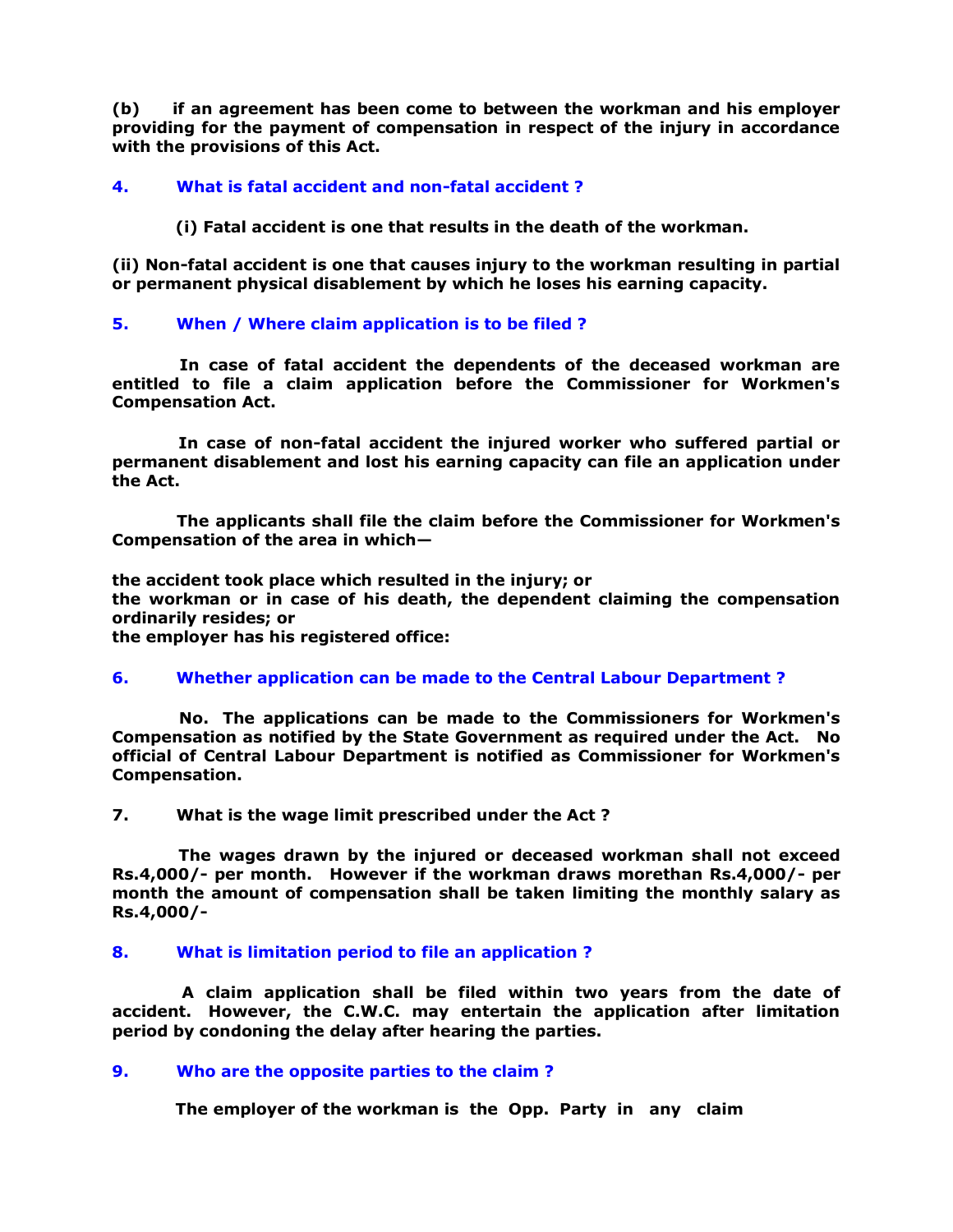**(b) if an agreement has been come to between the workman and his employer providing for the payment of compensation in respect of the injury in accordance with the provisions of this Act.** 

### **4. What is fatal accident and non-fatal accident ?**

 **(i) Fatal accident is one that results in the death of the workman.**

**(ii) Non-fatal accident is one that causes injury to the workman resulting in partial or permanent physical disablement by which he loses his earning capacity.**

#### **5. When / Where claim application is to be filed ?**

 **In case of fatal accident the dependents of the deceased workman are entitled to file a claim application before the Commissioner for Workmen's Compensation Act.** 

 **In case of non-fatal accident the injured worker who suffered partial or permanent disablement and lost his earning capacity can file an application under the Act.** 

 **The applicants shall file the claim before the Commissioner for Workmen's Compensation of the area in which—**

**the accident took place which resulted in the injury; or the workman or in case of his death, the dependent claiming the compensation ordinarily resides; or the employer has his registered office:**

#### **6. Whether application can be made to the Central Labour Department ?**

 **No. The applications can be made to the Commissioners for Workmen's Compensation as notified by the State Government as required under the Act. No official of Central Labour Department is notified as Commissioner for Workmen's Compensation.**

**7. What is the wage limit prescribed under the Act ?**

 **The wages drawn by the injured or deceased workman shall not exceed Rs.4,000/- per month. However if the workman draws morethan Rs.4,000/- per month the amount of compensation shall be taken limiting the monthly salary as Rs.4,000/-**

#### **8. What is limitation period to file an application ?**

 **A claim application shall be filed within two years from the date of accident. However, the C.W.C. may entertain the application after limitation period by condoning the delay after hearing the parties.** 

#### **9. Who are the opposite parties to the claim ?**

 **The employer of the workman is the Opp. Party in any claim**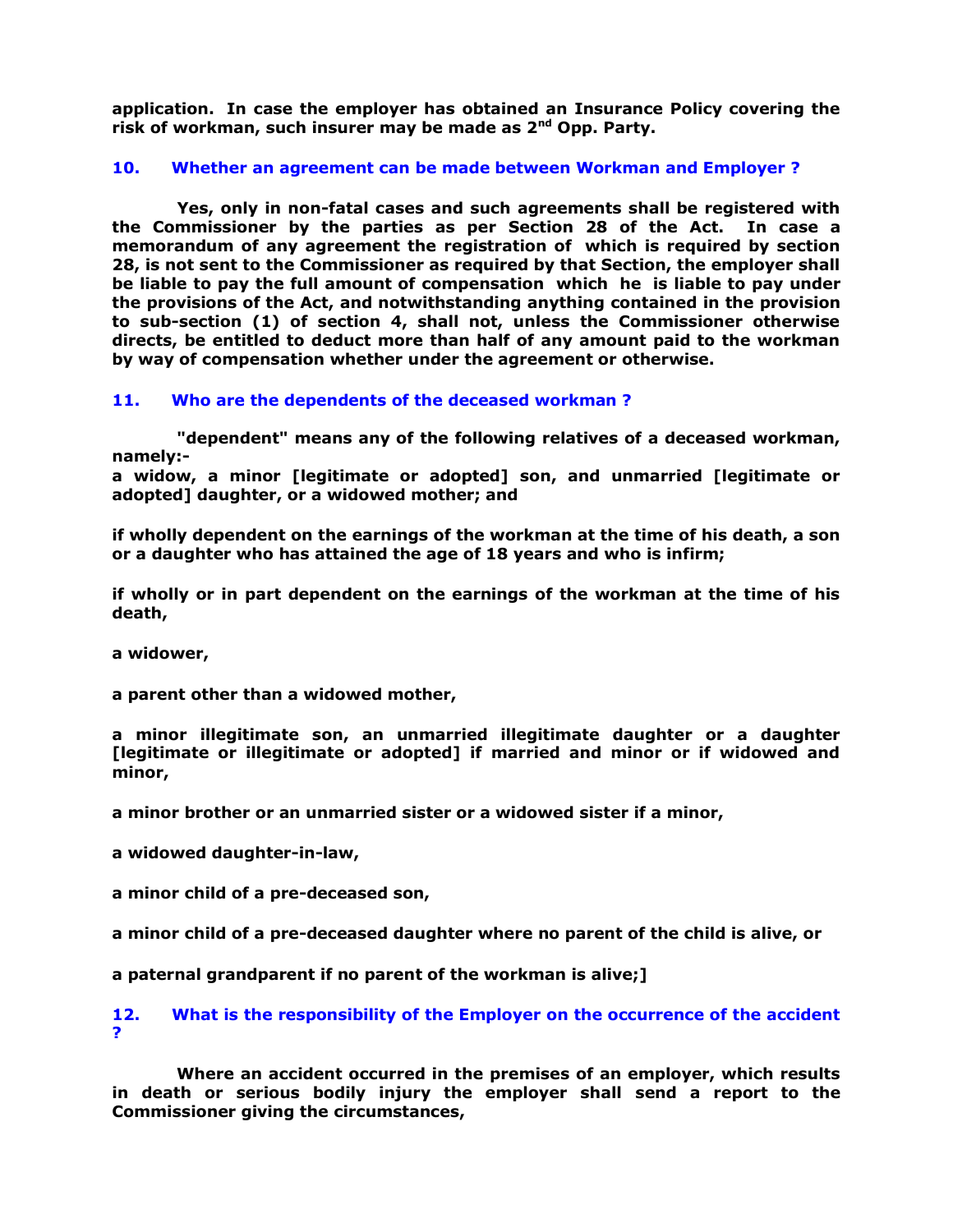**application. In case the employer has obtained an Insurance Policy covering the risk of workman, such insurer may be made as 2nd Opp. Party.** 

### **10. Whether an agreement can be made between Workman and Employer ?**

 **Yes, only in non-fatal cases and such agreements shall be registered with the Commissioner by the parties as per Section 28 of the Act. In case a memorandum of any agreement the registration of which is required by section 28, is not sent to the Commissioner as required by that Section, the employer shall be liable to pay the full amount of compensation which he is liable to pay under the provisions of the Act, and notwithstanding anything contained in the provision to sub-section (1) of section 4, shall not, unless the Commissioner otherwise directs, be entitled to deduct more than half of any amount paid to the workman by way of compensation whether under the agreement or otherwise.** 

#### **11. Who are the dependents of the deceased workman ?**

 **"dependent" means any of the following relatives of a deceased workman, namely:-**

**a widow, a minor [legitimate or adopted] son, and unmarried [legitimate or adopted] daughter, or a widowed mother; and**

**if wholly dependent on the earnings of the workman at the time of his death, a son or a daughter who has attained the age of 18 years and who is infirm;**

**if wholly or in part dependent on the earnings of the workman at the time of his death,**

**a widower,**

**a parent other than a widowed mother,**

**a minor illegitimate son, an unmarried illegitimate daughter or a daughter [legitimate or illegitimate or adopted] if married and minor or if widowed and minor,**

**a minor brother or an unmarried sister or a widowed sister if a minor,**

**a widowed daughter-in-law,**

**a minor child of a pre-deceased son,**

**a minor child of a pre-deceased daughter where no parent of the child is alive, or** 

**a paternal grandparent if no parent of the workman is alive;]**

#### **12. What is the responsibility of the Employer on the occurrence of the accident ?**

 **Where an accident occurred in the premises of an employer, which results in death or serious bodily injury the employer shall send a report to the Commissioner giving the circumstances,**